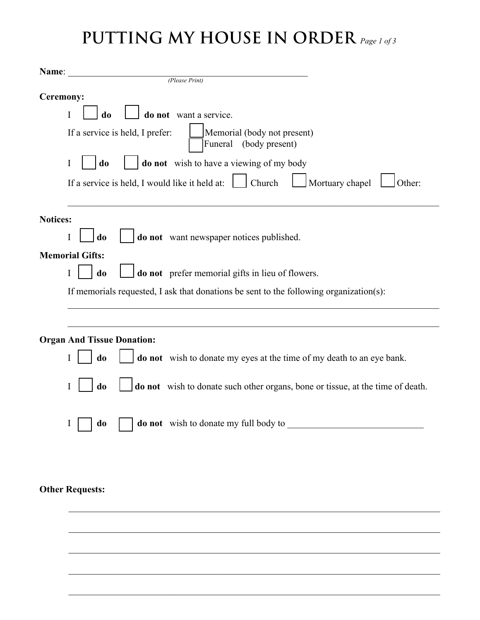# **PUTTING MY HOUSE IN ORDER** *Page 1 of <sup>3</sup>*

| Name:                                                                                       |  |  |  |  |  |  |
|---------------------------------------------------------------------------------------------|--|--|--|--|--|--|
| (Please Print)                                                                              |  |  |  |  |  |  |
| Ceremony:                                                                                   |  |  |  |  |  |  |
| do not want a service.<br>I<br>do                                                           |  |  |  |  |  |  |
| If a service is held, I prefer:<br>Memorial (body not present)<br>(body present)<br>Funeral |  |  |  |  |  |  |
| do not wish to have a viewing of my body<br>I<br>do                                         |  |  |  |  |  |  |
| If a service is held, I would like it held at: $\Box$ Church<br>Mortuary chapel<br>Other:   |  |  |  |  |  |  |
| <b>Notices:</b>                                                                             |  |  |  |  |  |  |
| do<br>do not want newspaper notices published.<br>I                                         |  |  |  |  |  |  |
| <b>Memorial Gifts:</b>                                                                      |  |  |  |  |  |  |
| do not prefer memorial gifts in lieu of flowers.<br>do<br>I                                 |  |  |  |  |  |  |
| If memorials requested, I ask that donations be sent to the following organization(s):      |  |  |  |  |  |  |
| <b>Organ And Tissue Donation:</b>                                                           |  |  |  |  |  |  |
| do not wish to donate my eyes at the time of my death to an eye bank.<br>do<br>I            |  |  |  |  |  |  |
| do not wish to donate such other organs, bone or tissue, at the time of death.<br>do        |  |  |  |  |  |  |
| <b>do not</b> wish to donate my full body to<br>do                                          |  |  |  |  |  |  |
|                                                                                             |  |  |  |  |  |  |
| <b>Other Requests:</b>                                                                      |  |  |  |  |  |  |

 $\_$ 

 $\_$ 

 $\_$ 

 $\_$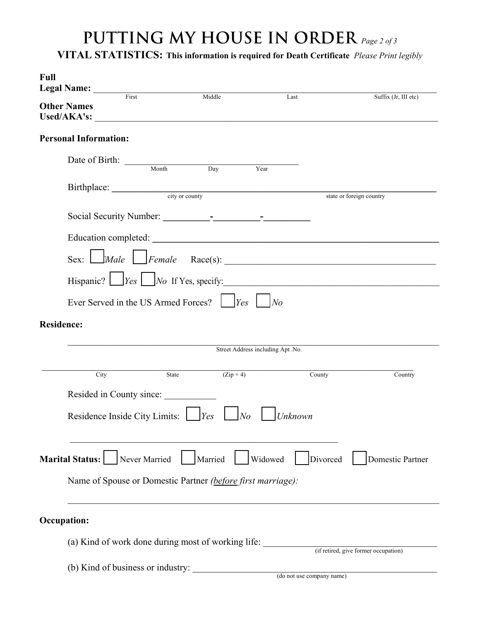## **PUTTING MY HOUSE IN ORDER** *Page 2 of 3*

**VITAL STATISTICS: This information is required for Death Certificate** *Please Print legibly*

| Full<br>Legal Name: <u>First</u> |                                   |                                                             |                                   |                                                   |
|----------------------------------|-----------------------------------|-------------------------------------------------------------|-----------------------------------|---------------------------------------------------|
| <b>Other Names</b>               |                                   | Middle                                                      | Last                              | Suffix (Jr, III etc)                              |
| <b>Personal Information:</b>     |                                   |                                                             |                                   |                                                   |
|                                  | Date of Birth: Month Day          |                                                             | Year                              |                                                   |
|                                  |                                   | Birthplace: <u>city or county</u>                           |                                   | state or foreign country                          |
|                                  |                                   |                                                             |                                   |                                                   |
|                                  |                                   |                                                             |                                   | $Sex:$ $\Box$ 'Male $\Box$ Female Race(s): $\Box$ |
|                                  |                                   |                                                             |                                   | Hispanic? $\Box$ $Yes \Box$ No If Yes, specify:   |
|                                  |                                   |                                                             | $N$ o                             |                                                   |
| <b>Residence:</b>                |                                   |                                                             |                                   |                                                   |
|                                  |                                   |                                                             | Street Address including Apt .No. |                                                   |
| City                             |                                   | $(Zip+4)$<br>State                                          | County                            | Country                                           |
|                                  | Resided in County since:          |                                                             |                                   |                                                   |
|                                  | Residence Inside City Limits:     | $N_o$<br>$\gamma$                                           | Unknown                           |                                                   |
| Marital Status: [                | Never Married                     | Married                                                     | Widowed<br>Divorced               | Domestic Partner                                  |
|                                  |                                   | Name of Spouse or Domestic Partner (before first marriage): |                                   |                                                   |
| <b>Occupation:</b>               |                                   |                                                             |                                   |                                                   |
|                                  |                                   | (a) Kind of work done during most of working life:          |                                   | (if retired, give former occupation)              |
|                                  | (b) Kind of business or industry: |                                                             | (do not use company name)         |                                                   |
|                                  |                                   |                                                             |                                   |                                                   |